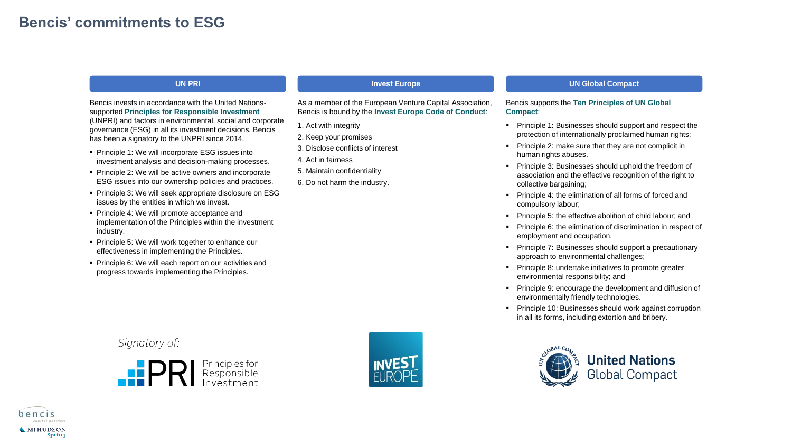# **Bencis' commitments to ESG**

### **UN PRI**

Bencis invests in accordance with the United Nationssupported **Principles for Responsible Investment**  (UNPRI) and factors in environmental, social and corporate governance (ESG) in all its investment decisions. Bencis has been a signatory to the UNPRI since 2014.

- Principle 1: We will incorporate ESG issues into investment analysis and decision-making processes.
- Principle 2: We will be active owners and incorporate ESG issues into our ownership policies and practices.
- Principle 3: We will seek appropriate disclosure on ESG issues by the entities in which we invest.
- Principle 4: We will promote acceptance and implementation of the Principles within the investment industry.
- Principle 5: We will work together to enhance our effectiveness in implementing the Principles.
- Principle 6: We will each report on our activities and progress towards implementing the Principles.

# Signatory of:



## 2. Keep your promises 3. Disclose conflicts of interest

**Invest Europe**

As a member of the European Venture Capital Association, Bencis is bound by the **Invest Europe Code of Conduct**:

4. Act in fairness

1. Act with integrity

- 5. Maintain confidentiality
- 6. Do not harm the industry.

#### **UN Global Compact**

#### Bencis supports the **Ten Principles of UN Global Compact**:

- Principle 1: Businesses should support and respect the protection of internationally proclaimed human rights;
- Principle 2: make sure that they are not complicit in human rights abuses.
- Principle 3: Businesses should uphold the freedom of association and the effective recognition of the right to collective bargaining;
- Principle 4: the elimination of all forms of forced and compulsory labour;
- Principle 5: the effective abolition of child labour; and
- **•** Principle 6: the elimination of discrimination in respect of employment and occupation.
- Principle 7: Businesses should support a precautionary approach to environmental challenges;
- Principle 8: undertake initiatives to promote greater environmental responsibility; and
- Principle 9: encourage the development and diffusion of environmentally friendly technologies.
- Principle 10: Businesses should work against corruption in all its forms, including extortion and bribery.